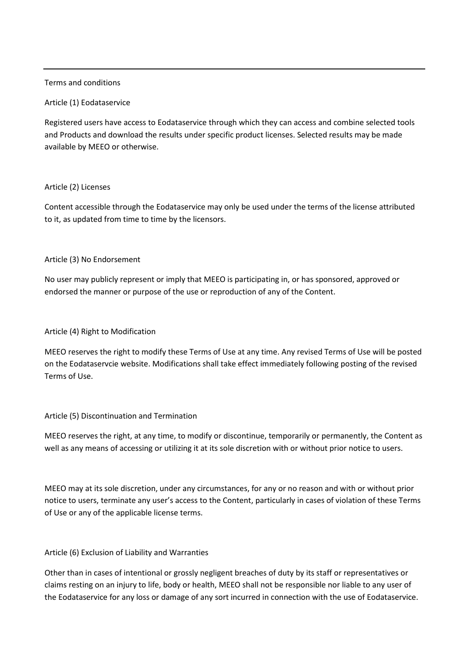# Terms and conditions

### Article (1) Eodataservice

Registered users have access to Eodataservice through which they can access and combine selected tools and Products and download the results under specific product licenses. Selected results may be made available by MEEO or otherwise.

# Article (2) Licenses

Content accessible through the Eodataservice may only be used under the terms of the license attributed to it, as updated from time to time by the licensors.

### Article (3) No Endorsement

No user may publicly represent or imply that MEEO is participating in, or has sponsored, approved or endorsed the manner or purpose of the use or reproduction of any of the Content.

### Article (4) Right to Modification

MEEO reserves the right to modify these Terms of Use at any time. Any revised Terms of Use will be posted on the Eodataservcie website. Modifications shall take effect immediately following posting of the revised Terms of Use.

#### Article (5) Discontinuation and Termination

MEEO reserves the right, at any time, to modify or discontinue, temporarily or permanently, the Content as well as any means of accessing or utilizing it at its sole discretion with or without prior notice to users.

MEEO may at its sole discretion, under any circumstances, for any or no reason and with or without prior notice to users, terminate any user's access to the Content, particularly in cases of violation of these Terms of Use or any of the applicable license terms.

# Article (6) Exclusion of Liability and Warranties

Other than in cases of intentional or grossly negligent breaches of duty by its staff or representatives or claims resting on an injury to life, body or health, MEEO shall not be responsible nor liable to any user of the Eodataservice for any loss or damage of any sort incurred in connection with the use of Eodataservice.